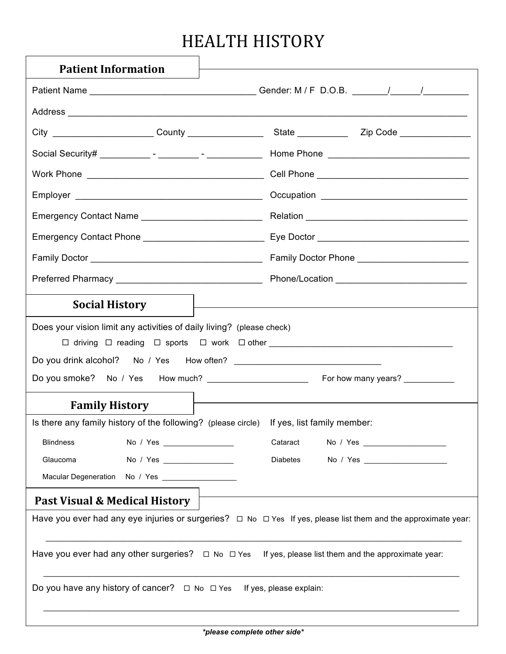## HEALTH HISTORY

| <b>Patient Information</b>                                                                |                                                                                                                                                                                                                               |  |  |  |
|-------------------------------------------------------------------------------------------|-------------------------------------------------------------------------------------------------------------------------------------------------------------------------------------------------------------------------------|--|--|--|
|                                                                                           |                                                                                                                                                                                                                               |  |  |  |
|                                                                                           |                                                                                                                                                                                                                               |  |  |  |
|                                                                                           |                                                                                                                                                                                                                               |  |  |  |
|                                                                                           |                                                                                                                                                                                                                               |  |  |  |
|                                                                                           |                                                                                                                                                                                                                               |  |  |  |
|                                                                                           |                                                                                                                                                                                                                               |  |  |  |
| Emergency Contact Name _______________________________                                    |                                                                                                                                                                                                                               |  |  |  |
|                                                                                           |                                                                                                                                                                                                                               |  |  |  |
|                                                                                           |                                                                                                                                                                                                                               |  |  |  |
|                                                                                           |                                                                                                                                                                                                                               |  |  |  |
|                                                                                           |                                                                                                                                                                                                                               |  |  |  |
| <b>Social History</b>                                                                     |                                                                                                                                                                                                                               |  |  |  |
| Does your vision limit any activities of daily living? (please check)                     |                                                                                                                                                                                                                               |  |  |  |
|                                                                                           |                                                                                                                                                                                                                               |  |  |  |
|                                                                                           |                                                                                                                                                                                                                               |  |  |  |
|                                                                                           | the control of the control of the control of the control of the control of the control of the control of the control of the control of the control of the control of the control of the control of the control of the control |  |  |  |
| <b>Family History</b>                                                                     |                                                                                                                                                                                                                               |  |  |  |
| Is there any family history of the following? (please circle) If yes, list family member: |                                                                                                                                                                                                                               |  |  |  |
| <b>Blindness</b><br>No / Yes __________________                                           | Cataract                                                                                                                                                                                                                      |  |  |  |
| Glaucoma                                                                                  | Diabetes                                                                                                                                                                                                                      |  |  |  |
|                                                                                           |                                                                                                                                                                                                                               |  |  |  |
| Past Visual & Medical History                                                             |                                                                                                                                                                                                                               |  |  |  |
|                                                                                           | Have you ever had any eye injuries or surgeries? $\Box$ No $\Box$ Yes If yes, please list them and the approximate year:                                                                                                      |  |  |  |
|                                                                                           | Have you ever had any other surgeries? $\Box$ No $\Box$ Yes If yes, please list them and the approximate year:                                                                                                                |  |  |  |
| Do you have any history of cancer? $\Box$ No $\Box$ Yes If yes, please explain:           |                                                                                                                                                                                                                               |  |  |  |